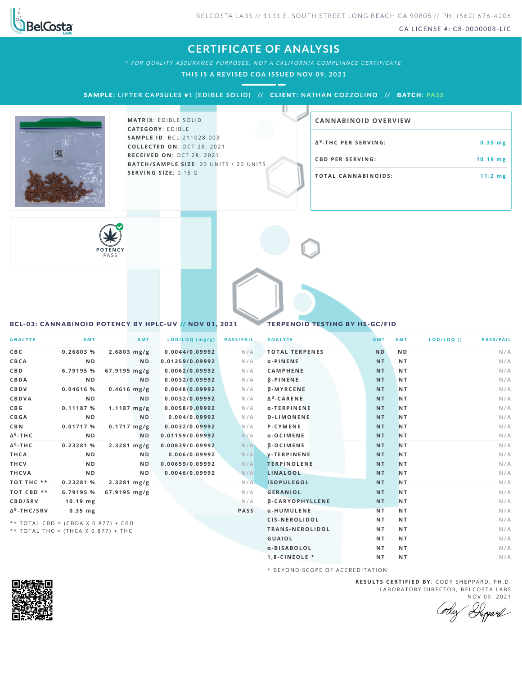

CA LICENSE #: C8-0000008-LIC

## **CERTIFICATE OF ANALYSIS**

\* FOR QUALITY ASSURANCE PURPOSES. NOT A CALIFORNIA COMPLIANCE CERTIFICATE.

**THI S I S A RE V IS ED COA I S SUED NOV 09, 2021**

SAMPLE: LIFTER CAPSULES #1 (EDIBLE SOLID) // CLIENT: NATHAN COZZOLINO // BATCH: PASS



**MATRIX: EDIBLE SOLID CAT E G O R Y** : E D IB L E **SA M P L E I D** :B C L - 2 1 1 0 2 8 - 0 0 3 **C O L L E C T E D O N** :O C T 2 8 , 2 0 2 1 **R E C E I V E D O N** : O C T 2 8 , 2 0 2 1 **BAT C H / SA M P L E S I Z E** : 2 0 U N IT S / 2 0 U N IT S **S E R V I N G S I Z E** : 0 . 1 5 G

## **CA N N ABI N OID OVERVI EW**

| Δ <sup>9</sup> -THC PER SERVING: | $0.35$ mg         |  |  |  |
|----------------------------------|-------------------|--|--|--|
| <b>CBD PER SERVING:</b>          | $10.19$ mg        |  |  |  |
| <b>TOTAL CANNABINOIDS:</b>       | $11.2 \text{ mg}$ |  |  |  |



## <span id="page-0-0"></span>BCL-03: CANNABINOID POTENCY BY HPLC-UV // NOV 01, 2021 TERPENOID TESTING BY HS-GC/FID

| <b>ANALYTE</b>                        | <b>AMT</b>     |                         | AMT            | $LOD/LOQ$ (mg/g) | <b>PASS/FAIL</b> | <b>ANALYTE</b>         | <b>AMT</b> | AMT            | LOD/LOQ() | <b>PASS/FAIL</b> |
|---------------------------------------|----------------|-------------------------|----------------|------------------|------------------|------------------------|------------|----------------|-----------|------------------|
| C B C                                 | 0.26803%       | 2.6803 mg/g             |                | 0.0044/0.09992   | N/A              | <b>TOTAL TERPENES</b>  | <b>ND</b>  | N <sub>D</sub> |           | N/A              |
| CBCA                                  | N <sub>D</sub> |                         | <b>ND</b>      | 0.01259/0.09992  | N/A              | $\alpha$ -PINENE       | <b>NT</b>  | <b>NT</b>      |           | N/A              |
| <b>CBD</b>                            | 6.79195 %      | $67.9195 \text{ mg/g}$  |                | 0.0062/0.09992   | N/A              | <b>CAMPHENE</b>        | <b>NT</b>  | <b>NT</b>      |           | N/A              |
| CBDA                                  | N <sub>D</sub> |                         | N <sub>D</sub> | 0.0032/0.09992   | N/A              | <b>B-PINENE</b>        | <b>NT</b>  | <b>NT</b>      |           | N/A              |
| CBDV                                  | 0.04616 %      | $0.4616$ mg/g           |                | 0.0048/0.09992   | N/A              | <b>B-MYRCENE</b>       | <b>NT</b>  | <b>NT</b>      |           | N/A              |
| CBDVA                                 | N <sub>D</sub> |                         | N <sub>D</sub> | 0.0032/0.09992   | N/A              | $\Delta^3$ -CARENE     | <b>NT</b>  | <b>NT</b>      |           | N/A              |
| C B G                                 | 0.11187%       | $1.1187 \text{ mg/g}$   |                | 0.0058/0.09992   | N/A              | α-TERPINENE            | <b>NT</b>  | <b>NT</b>      |           | N/A              |
| CBGA                                  | N <sub>D</sub> |                         | <b>ND</b>      | 0.004/0.09992    | N/A              | <b>D-LIMONENE</b>      | <b>NT</b>  | <b>NT</b>      |           | N/A              |
| <b>CBN</b>                            | 0.01717%       | $0.1717 \, \text{mg/g}$ |                | 0.0032/0.09992   | N/A              | <b>P-CYMENE</b>        | <b>NT</b>  | <b>NT</b>      |           | N/A              |
| $\Delta^8$ -THC                       | N <sub>D</sub> |                         | <b>ND</b>      | 0.01159/0.09992  | N/A              | α-OCIMENE              | <b>NT</b>  | N <sub>T</sub> |           | N/A              |
| $\Delta$ <sup>9</sup> -THC            | 0.23281 %      | $2.3281$ mg/g           |                | 0.00839/0.09992  | N/A              | <b>B-OCIMENE</b>       | <b>NT</b>  | <b>NT</b>      |           | N/A              |
| THCA                                  | N <sub>D</sub> |                         | N D            | 0.006/0.09992    | N/A              | <b>V-TERPINENE</b>     | <b>NT</b>  | <b>NT</b>      |           | N/A              |
| <b>THCV</b>                           | N <sub>D</sub> |                         | <b>ND</b>      | 0.00659/0.09992  | N/A              | <b>TERPINOLENE</b>     | <b>NT</b>  | <b>NT</b>      |           | N/A              |
| THCVA                                 | N D            |                         | N <sub>D</sub> | 0.0046/0.09992   | N/A              | LINALOOL               | <b>NT</b>  | <b>NT</b>      |           | N/A              |
| TOT THC **                            | 0.23281 %      | $2.3281$ mg/g           |                |                  | N/A              | <b>ISOPULEGOL</b>      | <b>NT</b>  | <b>NT</b>      |           | N/A              |
| TOT CBD **                            | 6.79195 %      | $67.9195 \text{ mg/g}$  |                |                  | N/A              | <b>GERANIOL</b>        | <b>NT</b>  | <b>NT</b>      |           | N/A              |
| CBD/SRV                               | $10.19$ mg     |                         |                |                  | N/A              | <b>B-CARYOPHYLLENE</b> | <b>NT</b>  | <b>NT</b>      |           | N/A              |
| Δ <sup>9</sup> -THC/SRV               | $0.35$ mg      |                         |                |                  | <b>PASS</b>      | a-HUMULENE             | NT.        | <b>NT</b>      |           | N/A              |
| ** TOTAL CBD = $(CBDA X 0.877) + CBD$ |                |                         |                |                  |                  | CIS-NEROLIDOL          | NT.        | <b>NT</b>      |           | N/A              |
| ** TOTAL THC = (THCA X 0.877) + THC   |                |                         |                |                  |                  | TRANS-NEROLIDOL        | NT.        | <b>NT</b>      |           | N/A              |
|                                       |                |                         |                |                  |                  | <b>GUAIOL</b>          | NT.        | <b>NT</b>      |           | N/A              |

\* B E Y O N D S C O P E O F A C C R E D IT A T I O N

**R E S U L T S C E R T I F I E D BY** : C O D Y S H E P P A R D ,P H .D . LABORATORY DIRECTOR, BELCOSTA LABS NOV 09, 2021

Ody Depard

**α -BI SAB O L O L N T N T N /A 1 , 8 - C I N E O L E \* N T N T N /A**